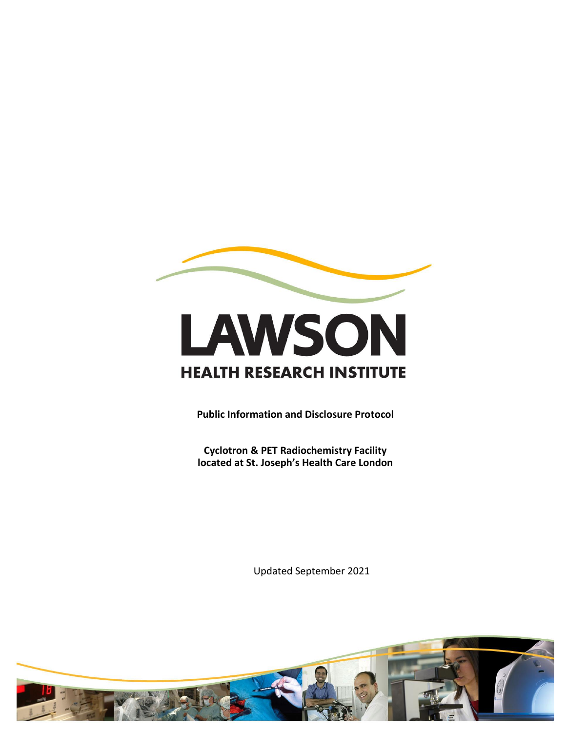

# LAWSON **HEALTH RESEARCH INSTITUTE**

**Public Information and Disclosure Protocol** 

**Cyclotron & PET Radiochemistry Facility located at St. Joseph's Health Care London**

Updated September 2021

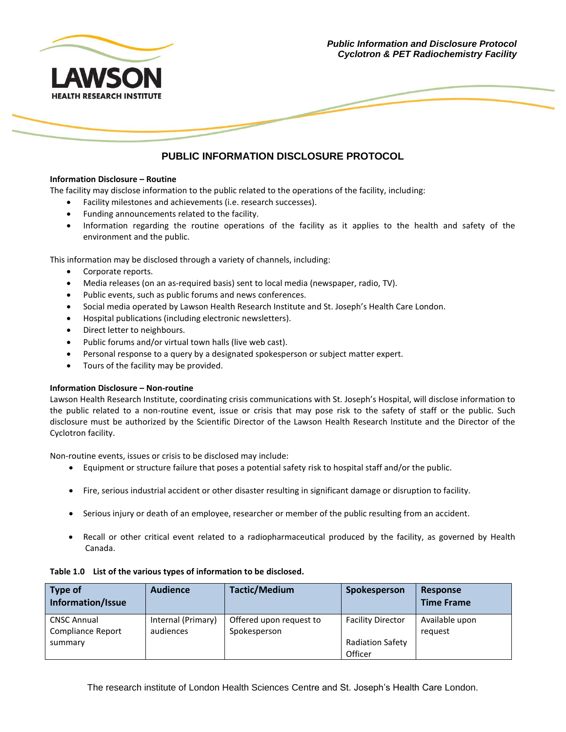

*Public Information and Disclosure Protocol Cyclotron & PET Radiochemistry Facility*

### **PUBLIC INFORMATION DISCLOSURE PROTOCOL**

#### **Information Disclosure – Routine**

The facility may disclose information to the public related to the operations of the facility, including:

- Facility milestones and achievements (i.e. research successes).
- Funding announcements related to the facility.
- Information regarding the routine operations of the facility as it applies to the health and safety of the environment and the public.

This information may be disclosed through a variety of channels, including:

- Corporate reports.
- Media releases (on an as-required basis) sent to local media (newspaper, radio, TV).
- Public events, such as public forums and news conferences.
- Social media operated by Lawson Health Research Institute and St. Joseph's Health Care London.
- Hospital publications (including electronic newsletters).
- Direct letter to neighbours.
- Public forums and/or virtual town halls (live web cast).
- Personal response to a query by a designated spokesperson or subject matter expert.
- Tours of the facility may be provided.

#### **Information Disclosure – Non-routine**

Lawson Health Research Institute, coordinating crisis communications with St. Joseph's Hospital, will disclose information to the public related to a non-routine event, issue or crisis that may pose risk to the safety of staff or the public. Such disclosure must be authorized by the Scientific Director of the Lawson Health Research Institute and the Director of the Cyclotron facility.

Non-routine events, issues or crisis to be disclosed may include:

- Equipment or structure failure that poses a potential safety risk to hospital staff and/or the public.
- Fire, serious industrial accident or other disaster resulting in significant damage or disruption to facility.
- Serious injury or death of an employee, researcher or member of the public resulting from an accident.
- Recall or other critical event related to a radiopharmaceutical produced by the facility, as governed by Health Canada.

| Type of<br>Information/Issue | <b>Audience</b>    | <b>Tactic/Medium</b>    | Spokesperson             | <b>Response</b><br><b>Time Frame</b> |
|------------------------------|--------------------|-------------------------|--------------------------|--------------------------------------|
| <b>CNSC Annual</b>           | Internal (Primary) | Offered upon request to | <b>Facility Director</b> | Available upon                       |
| Compliance Report            | audiences          | Spokesperson            |                          | request                              |
| summary                      |                    |                         | <b>Radiation Safety</b>  |                                      |
|                              |                    |                         | Officer                  |                                      |

#### **Table 1.0 List of the various types of information to be disclosed.**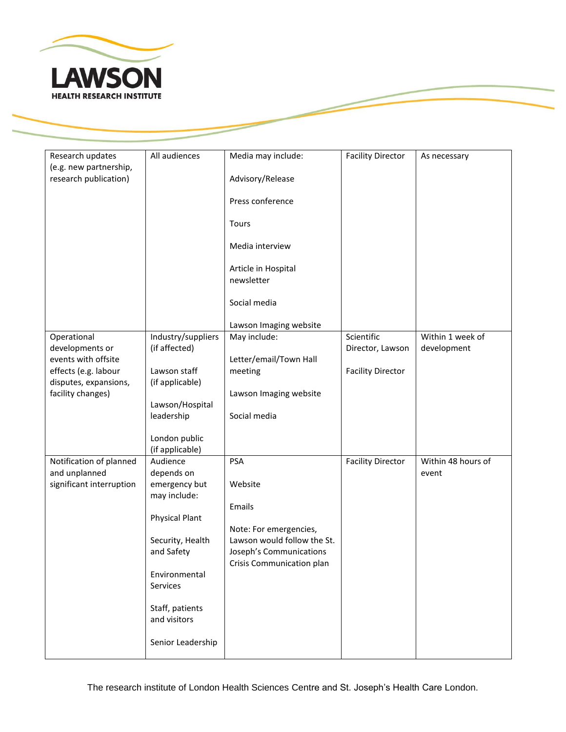

| Research updates         | All audiences         | Media may include:          | <b>Facility Director</b> | As necessary       |
|--------------------------|-----------------------|-----------------------------|--------------------------|--------------------|
| (e.g. new partnership,   |                       |                             |                          |                    |
| research publication)    |                       | Advisory/Release            |                          |                    |
|                          |                       |                             |                          |                    |
|                          |                       | Press conference            |                          |                    |
|                          |                       | Tours                       |                          |                    |
|                          |                       |                             |                          |                    |
|                          |                       | Media interview             |                          |                    |
|                          |                       |                             |                          |                    |
|                          |                       | Article in Hospital         |                          |                    |
|                          |                       | newsletter                  |                          |                    |
|                          |                       |                             |                          |                    |
|                          |                       | Social media                |                          |                    |
|                          |                       | Lawson Imaging website      |                          |                    |
| Operational              | Industry/suppliers    | May include:                | Scientific               | Within 1 week of   |
| developments or          | (if affected)         |                             | Director, Lawson         | development        |
| events with offsite      |                       | Letter/email/Town Hall      |                          |                    |
| effects (e.g. labour     | Lawson staff          | meeting                     | <b>Facility Director</b> |                    |
| disputes, expansions,    | (if applicable)       |                             |                          |                    |
| facility changes)        |                       | Lawson Imaging website      |                          |                    |
|                          | Lawson/Hospital       |                             |                          |                    |
|                          | leadership            | Social media                |                          |                    |
|                          | London public         |                             |                          |                    |
|                          | (if applicable)       |                             |                          |                    |
| Notification of planned  | Audience              | <b>PSA</b>                  | <b>Facility Director</b> | Within 48 hours of |
| and unplanned            | depends on            |                             |                          | event              |
| significant interruption | emergency but         | Website                     |                          |                    |
|                          | may include:          |                             |                          |                    |
|                          |                       | Emails                      |                          |                    |
|                          | <b>Physical Plant</b> | Note: For emergencies,      |                          |                    |
|                          | Security, Health      | Lawson would follow the St. |                          |                    |
|                          | and Safety            | Joseph's Communications     |                          |                    |
|                          |                       | Crisis Communication plan   |                          |                    |
|                          | Environmental         |                             |                          |                    |
|                          | Services              |                             |                          |                    |
|                          |                       |                             |                          |                    |
|                          | Staff, patients       |                             |                          |                    |
|                          | and visitors          |                             |                          |                    |
|                          | Senior Leadership     |                             |                          |                    |
|                          |                       |                             |                          |                    |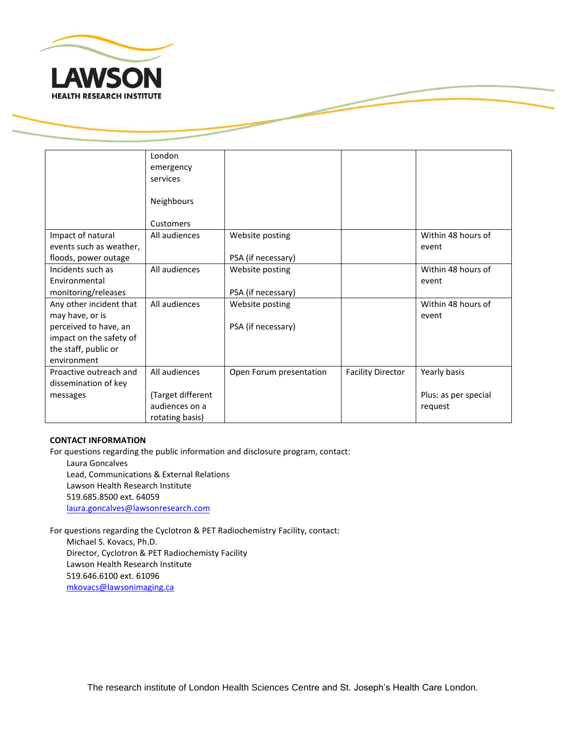

|                                                  | London<br>emergency |                         |                          |                             |
|--------------------------------------------------|---------------------|-------------------------|--------------------------|-----------------------------|
|                                                  | services            |                         |                          |                             |
|                                                  | Neighbours          |                         |                          |                             |
|                                                  | Customers           |                         |                          |                             |
| Impact of natural<br>events such as weather,     | All audiences       | Website posting         |                          | Within 48 hours of<br>event |
| floods, power outage                             |                     | PSA (if necessary)      |                          |                             |
| Incidents such as<br>Environmental               | All audiences       | Website posting         |                          | Within 48 hours of<br>event |
| monitoring/releases                              |                     | PSA (if necessary)      |                          |                             |
| Any other incident that<br>may have, or is       | All audiences       | Website posting         |                          | Within 48 hours of<br>event |
| perceived to have, an<br>impact on the safety of |                     | PSA (if necessary)      |                          |                             |
| the staff, public or                             |                     |                         |                          |                             |
| environment                                      |                     |                         |                          |                             |
| Proactive outreach and                           | All audiences       | Open Forum presentation | <b>Facility Director</b> | Yearly basis                |
| dissemination of key                             |                     |                         |                          |                             |
| messages                                         | (Target different   |                         |                          | Plus: as per special        |
|                                                  | audiences on a      |                         |                          | request                     |
|                                                  | rotating basis)     |                         |                          |                             |

#### **CONTACT INFORMATION**

For questions regarding the public information and disclosure program, contact:

Laura Goncalves Lead, Communications & External Relations Lawson Health Research Institute 519.685.8500 ext. 64059 laura.goncalves@lawsonresearch.com

For questions regarding the Cyclotron & PET Radiochemistry Facility, contact: Michael S. Kovacs, Ph.D. Director, Cyclotron & PET Radiochemisty Facility Lawson Health Research Institute 519.646.6100 ext. 61096 [mkovacs@lawsonimaging.ca](mailto:mkovacs@lawsonimaging.ca)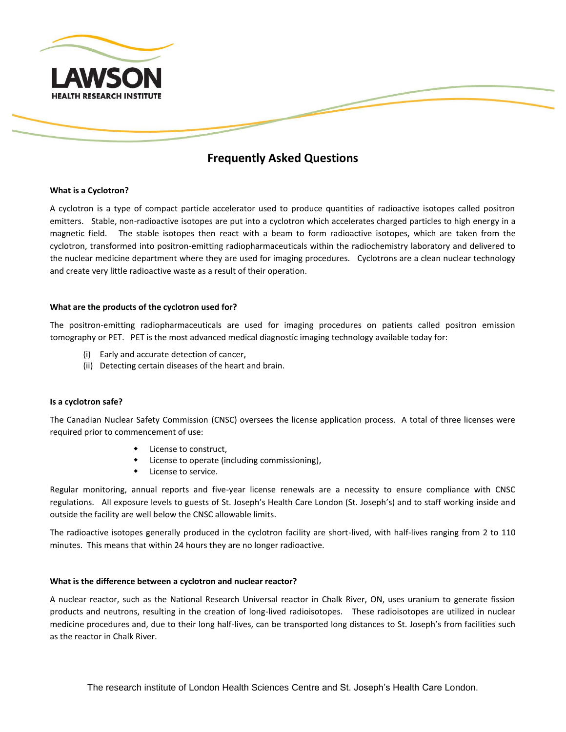

## **Frequently Asked Questions**

#### **What is a Cyclotron?**

A cyclotron is a type of compact particle accelerator used to produce quantities of radioactive isotopes called positron emitters. Stable, non-radioactive isotopes are put into a cyclotron which accelerates charged particles to high energy in a magnetic field. The stable isotopes then react with a beam to form radioactive isotopes, which are taken from the cyclotron, transformed into positron-emitting radiopharmaceuticals within the radiochemistry laboratory and delivered to the nuclear medicine department where they are used for imaging procedures. Cyclotrons are a clean nuclear technology and create very little radioactive waste as a result of their operation.

#### **What are the products of the cyclotron used for?**

The positron-emitting radiopharmaceuticals are used for imaging procedures on patients called positron emission tomography or PET. PET is the most advanced medical diagnostic imaging technology available today for:

- (i) Early and accurate detection of cancer,
- (ii) Detecting certain diseases of the heart and brain.

#### **Is a cyclotron safe?**

The Canadian Nuclear Safety Commission (CNSC) oversees the license application process. A total of three licenses were required prior to commencement of use:

- License to construct,
- License to operate (including commissioning),
- License to service.

Regular monitoring, annual reports and five-year license renewals are a necessity to ensure compliance with CNSC regulations. All exposure levels to guests of St. Joseph's Health Care London (St. Joseph's) and to staff working inside and outside the facility are well below the CNSC allowable limits.

The radioactive isotopes generally produced in the cyclotron facility are short-lived, with half-lives ranging from 2 to 110 minutes. This means that within 24 hours they are no longer radioactive.

#### **What is the difference between a cyclotron and nuclear reactor?**

A nuclear reactor, such as the National Research Universal reactor in Chalk River, ON, uses uranium to generate fission products and neutrons, resulting in the creation of long-lived radioisotopes. These radioisotopes are utilized in nuclear medicine procedures and, due to their long half-lives, can be transported long distances to St. Joseph's from facilities such as the reactor in Chalk River.